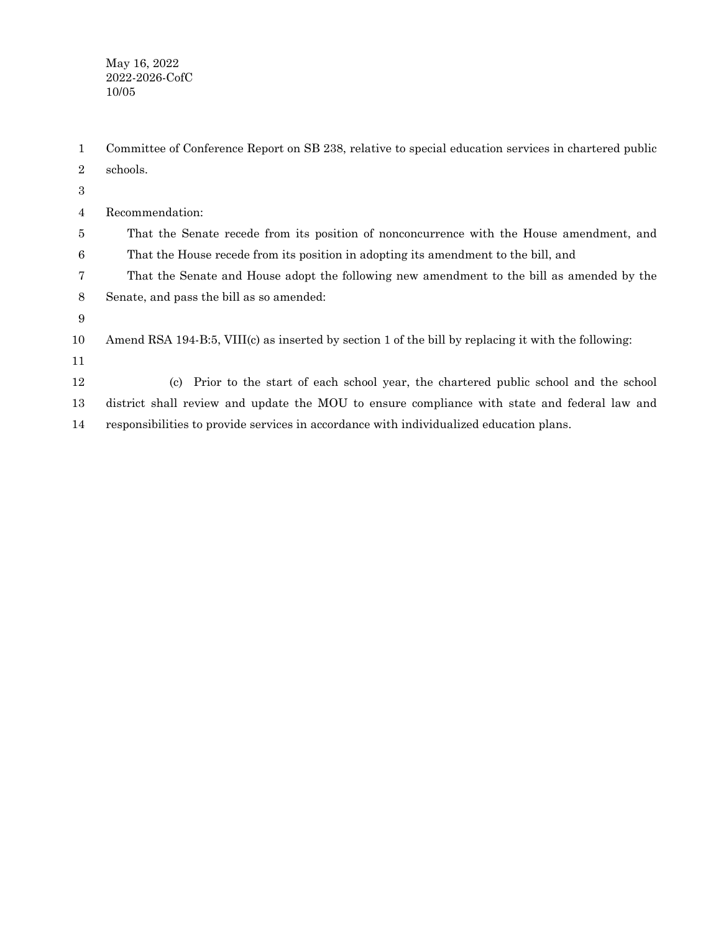May 16, 2022 2022-2026-CofC 10/05

Committee of Conference Report on SB 238, relative to special education services in chartered public schools. 1 2

- Recommendation: That the Senate recede from its position of nonconcurrence with the House amendment, and That the House recede from its position in adopting its amendment to the bill, and That the Senate and House adopt the following new amendment to the bill as amended by the Senate, and pass the bill as so amended: Amend RSA 194-B:5, VIII(c) as inserted by section 1 of the bill by replacing it with the following: (c) Prior to the start of each school year, the chartered public school and the school district shall review and update the MOU to ensure compliance with state and federal law and 3 4 5 6 7 8 9 10 11 12 13
- responsibilities to provide services in accordance with individualized education plans. 14